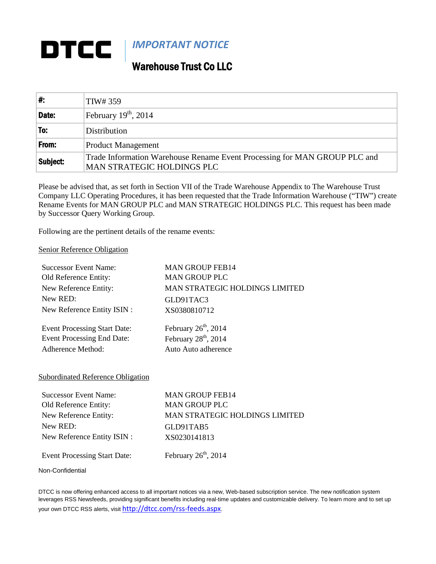## DTCC *IMPORTANT NOTICE*

## Warehouse Trust Co LLC

| ∦:       | TIW# 359                                                                                                |
|----------|---------------------------------------------------------------------------------------------------------|
| Date:    | February $19^{th}$ , 2014                                                                               |
| To:      | Distribution                                                                                            |
| From:    | <b>Product Management</b>                                                                               |
| Subject: | Trade Information Warehouse Rename Event Processing for MAN GROUP PLC and<br>MAN STRATEGIC HOLDINGS PLC |

Please be advised that, as set forth in Section VII of the Trade Warehouse Appendix to The Warehouse Trust Company LLC Operating Procedures, it has been requested that the Trade Information Warehouse ("TIW") create Rename Events for MAN GROUP PLC and MAN STRATEGIC HOLDINGS PLC. This request has been made by Successor Query Working Group.

Following are the pertinent details of the rename events:

## Senior Reference Obligation

| <b>Successor Event Name:</b>        | <b>MAN GROUP FEB14</b>         |
|-------------------------------------|--------------------------------|
| Old Reference Entity:               | <b>MAN GROUP PLC</b>           |
| New Reference Entity:               | MAN STRATEGIC HOLDINGS LIMITED |
| New RED:                            | GLD91TAC3                      |
| New Reference Entity ISIN :         | XS0380810712                   |
| <b>Event Processing Start Date:</b> | February $26th$ , 2014         |
| <b>Event Processing End Date:</b>   | February $28th$ , 2014         |
| Adherence Method:                   | Auto Auto adherence            |

## Subordinated Reference Obligation

| <b>Successor Event Name:</b>        | <b>MAN GROUP FEB14</b>                |
|-------------------------------------|---------------------------------------|
| Old Reference Entity:               | <b>MAN GROUP PLC</b>                  |
| New Reference Entity:               | <b>MAN STRATEGIC HOLDINGS LIMITED</b> |
| New RED:                            | GLD91TAB5                             |
| New Reference Entity ISIN :         | XS0230141813                          |
| <b>Event Processing Start Date:</b> | February $26th$ , 2014                |

Non-Confidential

DTCC is now offering enhanced access to all important notices via a new, Web-based subscription service. The new notification system leverages RSS Newsfeeds, providing significant benefits including real-time updates and customizable delivery. To learn more and to set up your own DTCC RSS alerts, visit <http://dtcc.com/rss-feeds.aspx>.